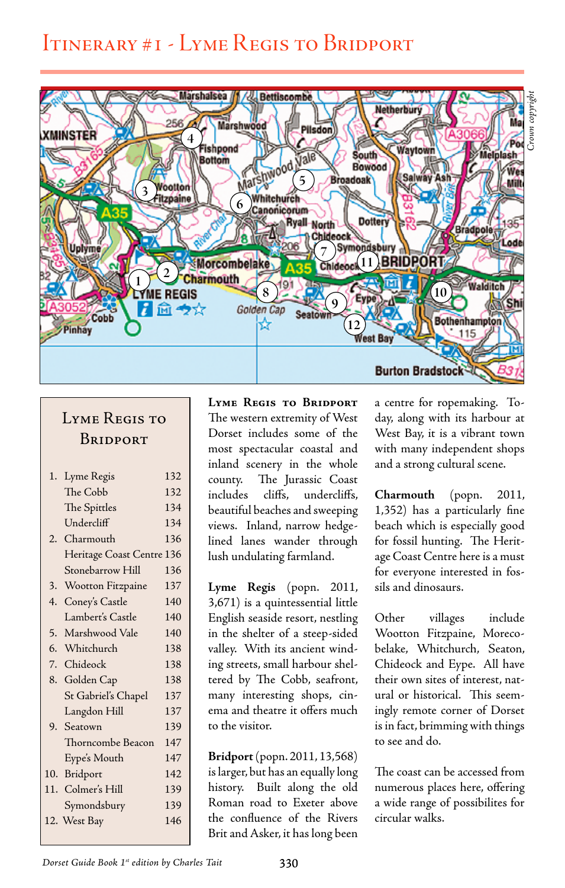## Itinerary #1 - Lyme Regis to Bridport



## LYME REGIS TO **BRIDPORT**

| 1.  | Lyme Regis                | 132 |
|-----|---------------------------|-----|
|     | The Cobb                  | 132 |
|     | The Spittles              | 134 |
|     | Undercliff                | 134 |
|     | 2. Charmouth              | 136 |
|     | Heritage Coast Centre 136 |     |
|     | Stonebarrow Hill          | 136 |
| 3.  | Wootton Fitzpaine         | 137 |
| 4.  | Coney's Castle            | 140 |
|     | Lambert's Castle          | 140 |
| 5.  | Marshwood Vale            | 140 |
|     | 6. Whitchurch             | 138 |
|     | 7. Chideock               | 138 |
|     | 8. Golden Cap             | 138 |
|     | St Gabriel's Chapel       | 137 |
|     | Langdon Hill              | 137 |
|     | 9. Seatown                | 139 |
|     | Thorncombe Beacon         | 147 |
|     | Eype's Mouth              | 147 |
| 10. | Bridport                  | 142 |
|     | 11. Colmer's Hill         | 139 |
|     | Symondsbury               | 139 |
|     | 12. West Bay              | 146 |
|     |                           |     |

**Lyme Regis to Bridport** The western extremity of West Dorset includes some of the most spectacular coastal and inland scenery in the whole county. The Jurassic Coast includes cliffs, undercliffs, beautiful beaches and sweeping views. Inland, narrow hedgelined lanes wander through lush undulating farmland.

**Lyme Regis** (popn. 2011, 3,671) is a quintessential little English seaside resort, nestling in the shelter of a steep-sided valley. With its ancient winding streets, small harbour sheltered by The Cobb, seafront, many interesting shops, cinema and theatre it offers much to the visitor.

**Bridport** (popn. 2011, 13,568) is larger, but has an equally long history. Built along the old Roman road to Exeter above the confluence of the Rivers Brit and Asker, it has long been

a centre for ropemaking. Today, along with its harbour at West Bay, it is a vibrant town with many independent shops and a strong cultural scene.

**Charmouth** (popn. 2011, 1,352) has a particularly fine beach which is especially good for fossil hunting. The Heritage Coast Centre here is a must for everyone interested in fossils and dinosaurs.

Other villages include Wootton Fitzpaine, Morecobelake, Whitchurch, Seaton, Chideock and Eype. All have their own sites of interest, natural or historical. This seemingly remote corner of Dorset is in fact, brimming with things to see and do.

The coast can be accessed from numerous places here, offering a wide range of possibilites for circular walks.